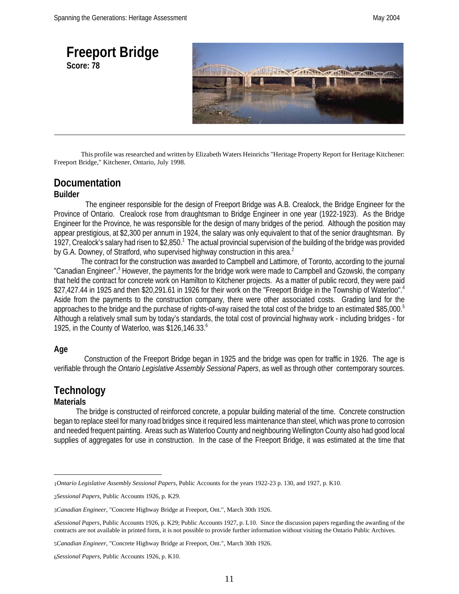

This profile was researched and written by Elizabeth Waters Heinrichs "Heritage Property Report for Heritage Kitchener: Freeport Bridge," Kitchener, Ontario, July 1998.

### **Documentation**

#### **Builder**

 The engineer responsible for the design of Freeport Bridge was A.B. Crealock, the Bridge Engineer for the Province of Ontario. Crealock rose from draughtsman to Bridge Engineer in one year (1922-1923). As the Bridge Engineer for the Province, he was responsible for the design of many bridges of the period. Although the position may appear prestigious, at \$2,300 per annum in 1924, the salary was only equivalent to that of the senior draughtsman. By 1927, Crealock's salary had risen to \$2,850.<sup>1</sup> The actual provincial supervision of the building of the bridge was provided by G.A. Downey, of Stratford, who supervised highway construction in this area.<sup>2</sup>

The contract for the construction was awarded to Campbell and Lattimore, of Toronto, according to the journal "Canadian Engineer".<sup>3</sup> However, the payments for the bridge work were made to Campbell and Gzowski, the company that held the contract for concrete work on Hamilton to Kitchener projects. As a matter of public record, they were paid \$27,427.44 in 1925 and then \$20,291.61 in 1926 for their work on the "Freeport Bridge in the Township of Waterloo".<sup>4</sup> Aside from the payments to the construction company, there were other associated costs. Grading land for the approaches to the bridge and the purchase of rights-of-way raised the total cost of the bridge to an estimated \$85,000.<sup>5</sup> Although a relatively small sum by today's standards, the total cost of provincial highway work - including bridges - for 1925, in the County of Waterloo, was \$126,146.33. $^6$ 

#### **Age**

 Construction of the Freeport Bridge began in 1925 and the bridge was open for traffic in 1926. The age is verifiable through the *Ontario Legislative Assembly Sessional Papers*, as well as through other contemporary sources.

## **Technology**

### **Materials**

 The bridge is constructed of reinforced concrete, a popular building material of the time. Concrete construction began to replace steel for many road bridges since it required less maintenance than steel, which was prone to corrosion and needed frequent painting. Areas such as Waterloo County and neighbouring Wellington County also had good local supplies of aggregates for use in construction. In the case of the Freeport Bridge, it was estimated at the time that

5*Canadian Engineer*, "Concrete Highway Bridge at Freeport, Ont.", March 30th 1926.

6*Sessional Papers,* Public Accounts 1926, p. K10.

<sup>1</sup>*Ontario Legislative Assembly Sessional Papers,* Public Accounts for the years 1922-23 p. 130, and 1927, p. K10.

<sup>2</sup>*Sessional Papers,* Public Accounts 1926, p. K29.

<sup>3</sup>*Canadian Engineer*, "Concrete Highway Bridge at Freeport, Ont.", March 30th 1926.

<sup>4</sup>*Sessional Papers*, Public Accounts 1926, p. K29; Public Accounts 1927, p. L10. Since the discussion papers regarding the awarding of the contracts are not available in printed form, it is not possible to provide further information without visiting the Ontario Public Archives.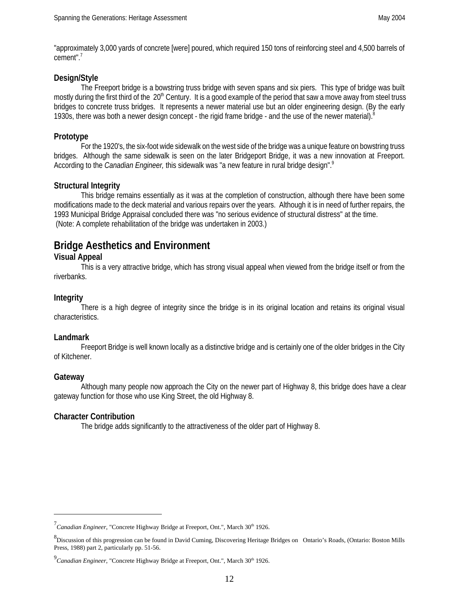"approximately 3,000 yards of concrete [were] poured, which required 150 tons of reinforcing steel and 4,500 barrels of cement".<sup>7</sup>

#### **Design/Style**

The Freeport bridge is a bowstring truss bridge with seven spans and six piers. This type of bridge was built mostly during the first third of the 20<sup>th</sup> Century. It is a good example of the period that saw a move away from steel truss bridges to concrete truss bridges. It represents a newer material use but an older engineering design. (By the early 1930s, there was both a newer design concept - the rigid frame bridge - and the use of the newer material).<sup>8</sup>

#### **Prototype**

For the 1920's, the six-foot wide sidewalk on the west side of the bridge was a unique feature on bowstring truss bridges. Although the same sidewalk is seen on the later Bridgeport Bridge, it was a new innovation at Freeport. According to the *Canadian Engineer,* this sidewalk was "a new feature in rural bridge design".9

#### **Structural Integrity**

This bridge remains essentially as it was at the completion of construction, although there have been some modifications made to the deck material and various repairs over the years. Although it is in need of further repairs, the 1993 Municipal Bridge Appraisal concluded there was "no serious evidence of structural distress" at the time. (Note: A complete rehabilitation of the bridge was undertaken in 2003.)

### **Bridge Aesthetics and Environment**

#### **Visual Appeal**

This is a very attractive bridge, which has strong visual appeal when viewed from the bridge itself or from the riverbanks.

#### **Integrity**

There is a high degree of integrity since the bridge is in its original location and retains its original visual characteristics.

#### **Landmark**

Freeport Bridge is well known locally as a distinctive bridge and is certainly one of the older bridges in the City of Kitchener.

#### **Gateway**

Although many people now approach the City on the newer part of Highway 8, this bridge does have a clear gateway function for those who use King Street, the old Highway 8.

#### **Character Contribution**

The bridge adds significantly to the attractiveness of the older part of Highway 8.

<sup>&</sup>lt;sup>7</sup> Canadian Engineer, "Concrete Highway Bridge at Freeport, Ont.", March 30<sup>th</sup> 1926.

<sup>&</sup>lt;sup>8</sup> Discussion of this progression can be found in David Cuming, Discovering Heritage Bridges on Ontario's Roads, (Ontario: Boston Mills Press, 1988) part 2, particularly pp. 51-56.

<sup>&</sup>lt;sup>9</sup> Canadian Engineer, "Concrete Highway Bridge at Freeport, Ont.", March 30<sup>th</sup> 1926.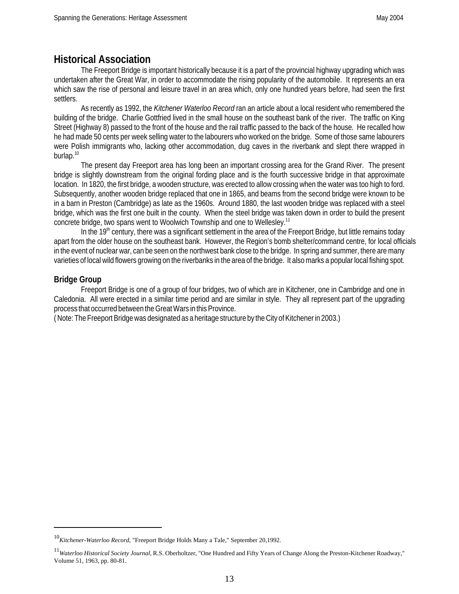### **Historical Association**

The Freeport Bridge is important historically because it is a part of the provincial highway upgrading which was undertaken after the Great War, in order to accommodate the rising popularity of the automobile. It represents an era which saw the rise of personal and leisure travel in an area which, only one hundred years before, had seen the first settlers.

As recently as 1992, the *Kitchener Waterloo Record* ran an article about a local resident who remembered the building of the bridge. Charlie Gottfried lived in the small house on the southeast bank of the river. The traffic on King Street (Highway 8) passed to the front of the house and the rail traffic passed to the back of the house. He recalled how he had made 50 cents per week selling water to the labourers who worked on the bridge. Some of those same labourers were Polish immigrants who, lacking other accommodation, dug caves in the riverbank and slept there wrapped in burlap.<sup>10</sup>

The present day Freeport area has long been an important crossing area for the Grand River. The present bridge is slightly downstream from the original fording place and is the fourth successive bridge in that approximate location. In 1820, the first bridge, a wooden structure, was erected to allow crossing when the water was too high to ford. Subsequently, another wooden bridge replaced that one in 1865, and beams from the second bridge were known to be in a barn in Preston (Cambridge) as late as the 1960s. Around 1880, the last wooden bridge was replaced with a steel bridge, which was the first one built in the county. When the steel bridge was taken down in order to build the present concrete bridge, two spans went to Woolwich Township and one to Wellesley.<sup>11</sup>

In the  $19<sup>th</sup>$  century, there was a significant settlement in the area of the Freeport Bridge, but little remains today apart from the older house on the southeast bank. However, the Region's bomb shelter/command centre, for local officials in the event of nuclear war, can be seen on the northwest bank close to the bridge. In spring and summer, there are many varieties of local wild flowers growing on the riverbanks in the area of the bridge. It also marks a popular local fishing spot.

#### **Bridge Group**

Freeport Bridge is one of a group of four bridges, two of which are in Kitchener, one in Cambridge and one in Caledonia. All were erected in a similar time period and are similar in style. They all represent part of the upgrading process that occurred between the Great Wars in this Province.

( Note: The Freeport Bridge was designated as a heritage structure by the City of Kitchener in 2003.)

<sup>10</sup>*Kitchener-Waterloo Record*, "Freeport Bridge Holds Many a Tale," September 20,1992.

<sup>11</sup>*Waterloo Historical Society Journal,* R.S. Oberholtzer, "One Hundred and Fifty Years of Change Along the Preston-Kitchener Roadway," Volume 51, 1963, pp. 80-81.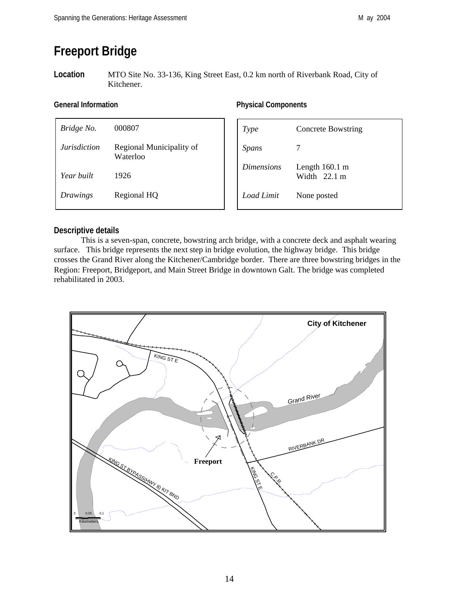# **Freeport Bridge**

**Location** MTO Site No. 33-136, King Street East, 0.2 km north of Riverbank Road, City of Kitchener.

| Bridge No.          | 000807                               |
|---------------------|--------------------------------------|
| <i>Jurisdiction</i> | Regional Municipality of<br>Waterloo |
| Year built          | 1926                                 |
| Drawings            | Regional HQ                          |

#### General Information **Components Components**

| Type              | <b>Concrete Bowstring</b>                          |
|-------------------|----------------------------------------------------|
| <b>Spans</b>      |                                                    |
| <i>Dimensions</i> | Length $160.1 \text{ m}$<br>Width $22.1 \text{ m}$ |
| Load Limit        | None posted                                        |

#### **Descriptive details**

This is a seven-span, concrete, bowstring arch bridge, with a concrete deck and asphalt wearing surface. This bridge represents the next step in bridge evolution, the highway bridge. This bridge crosses the Grand River along the Kitchener/Cambridge border. There are three bowstring bridges in the Region: Freeport, Bridgeport, and Main Street Bridge in downtown Galt. The bridge was completed rehabilitated in 2003.

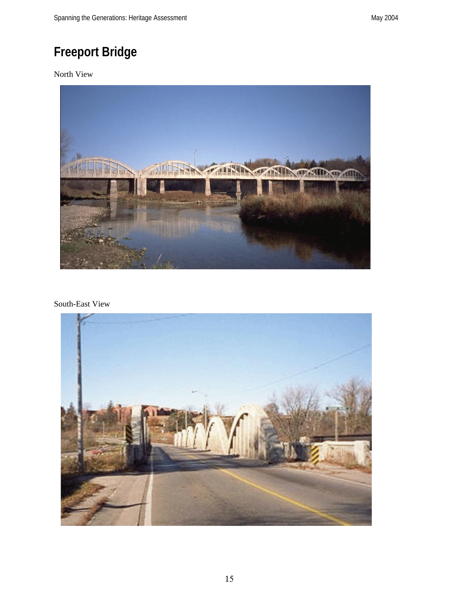# **Freeport Bridge**

North View



South-East View